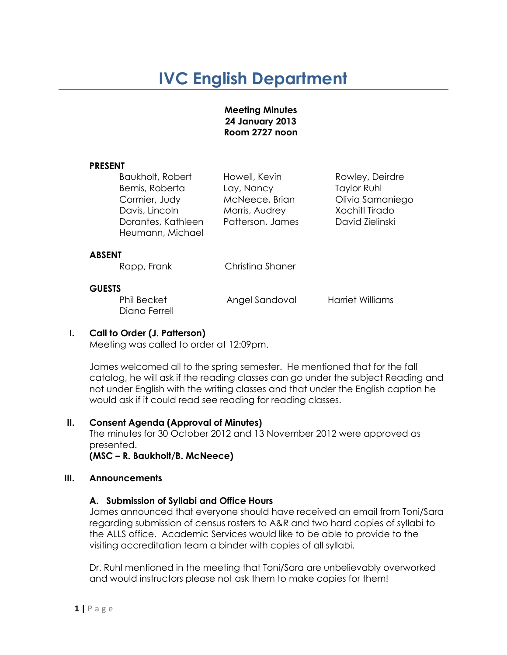# **IVC English Department**

## **Meeting Minutes 24 January 2013 Room 2727 noon**

## **PRESENT**

| Baukholt, Robert                       | Howell, Kevin    | Rowley, Deirdre       |
|----------------------------------------|------------------|-----------------------|
| Bemis, Roberta                         | Lay, Nancy       | <b>Taylor Ruhl</b>    |
| Cormier, Judy                          | McNeece, Brian   | Olivia Samaniego      |
| Davis, Lincoln                         | Morris, Audrey   | <b>Xochitl Tirado</b> |
| Dorantes, Kathleen<br>Heumann, Michael | Patterson, James | David Zielinski       |
|                                        |                  |                       |

## **ABSENT**

Rapp, Frank Christina Shaner

## **GUESTS**

Diana Ferrell

Phil Becket **Angel Sandoval** Harriet Williams

# **I. Call to Order (J. Patterson)**

Meeting was called to order at 12:09pm.

James welcomed all to the spring semester. He mentioned that for the fall catalog, he will ask if the reading classes can go under the subject Reading and not under English with the writing classes and that under the English caption he would ask if it could read see reading for reading classes.

## **II. Consent Agenda (Approval of Minutes)**

The minutes for 30 October 2012 and 13 November 2012 were approved as presented.

**(MSC – R. Baukholt/B. McNeece)**

## **III. Announcements**

## **A. Submission of Syllabi and Office Hours**

James announced that everyone should have received an email from Toni/Sara regarding submission of census rosters to A&R and two hard copies of syllabi to the ALLS office. Academic Services would like to be able to provide to the visiting accreditation team a binder with copies of all syllabi.

Dr. Ruhl mentioned in the meeting that Toni/Sara are unbelievably overworked and would instructors please not ask them to make copies for them!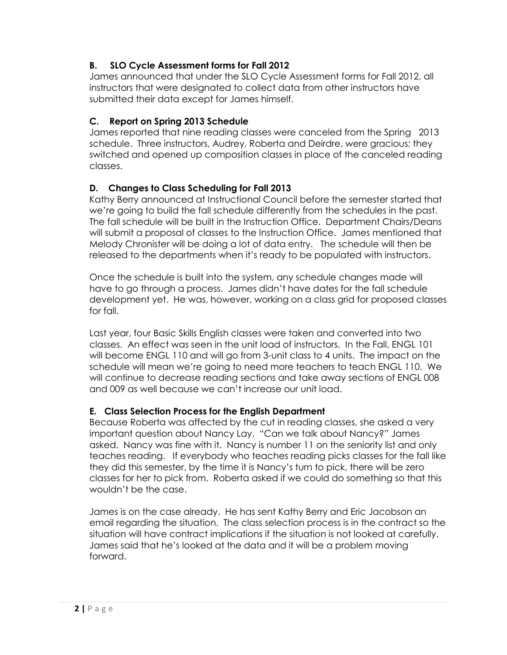# **B. SLO Cycle Assessment forms for Fall 2012**

James announced that under the SLO Cycle Assessment forms for Fall 2012, all instructors that were designated to collect data from other instructors have submitted their data except for James himself.

# **C. Report on Spring 2013 Schedule**

James reported that nine reading classes were canceled from the Spring 2013 schedule. Three instructors, Audrey, Roberta and Deirdre, were gracious; they switched and opened up composition classes in place of the canceled reading classes.

# **D. Changes to Class Scheduling for Fall 2013**

Kathy Berry announced at Instructional Council before the semester started that we're going to build the fall schedule differently from the schedules in the past. The fall schedule will be built in the Instruction Office. Department Chairs/Deans will submit a proposal of classes to the Instruction Office. James mentioned that Melody Chronister will be doing a lot of data entry. The schedule will then be released to the departments when it's ready to be populated with instructors.

Once the schedule is built into the system, any schedule changes made will have to go through a process. James didn't have dates for the fall schedule development yet. He was, however, working on a class grid for proposed classes for fall.

Last year, four Basic Skills English classes were taken and converted into two classes. An effect was seen in the unit load of instructors. In the Fall, ENGL 101 will become ENGL 110 and will go from 3-unit class to 4 units. The impact on the schedule will mean we're going to need more teachers to teach ENGL 110. We will continue to decrease reading sections and take away sections of ENGL 008 and 009 as well because we can't increase our unit load.

# **E. Class Selection Process for the English Department**

Because Roberta was affected by the cut in reading classes, she asked a very important question about Nancy Lay. "Can we talk about Nancy?" James asked. Nancy was fine with it. Nancy is number 11 on the seniority list and only teaches reading. If everybody who teaches reading picks classes for the fall like they did this semester, by the time it is Nancy's turn to pick, there will be zero classes for her to pick from. Roberta asked if we could do something so that this wouldn't be the case.

James is on the case already. He has sent Kathy Berry and Eric Jacobson an email regarding the situation. The class selection process is in the contract so the situation will have contract implications if the situation is not looked at carefully. James said that he's looked at the data and it will be a problem moving forward.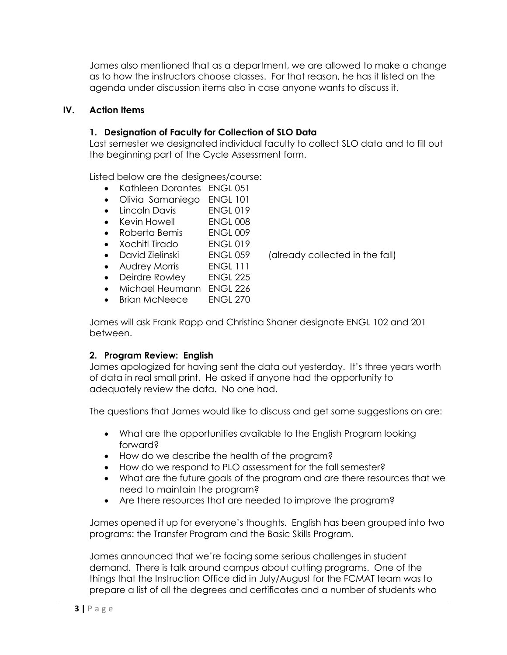James also mentioned that as a department, we are allowed to make a change as to how the instructors choose classes. For that reason, he has it listed on the agenda under discussion items also in case anyone wants to discuss it.

## **IV. Action Items**

## **1. Designation of Faculty for Collection of SLO Data**

Last semester we designated individual faculty to collect SLO data and to fill out the beginning part of the Cycle Assessment form.

Listed below are the designees/course:

- Kathleen Dorantes ENGL 051
- Olivia Samaniego ENGL 101
- Lincoln Davis ENGL 019
- Kevin Howell ENGL 008
- Roberta Bemis ENGL 009
- Xochitl Tirado ENGL 019
- David Zielinski ENGL 059 (already collected in the fall)
- Audrey Morris ENGL 111
- Deirdre Rowley ENGL 225
- Michael Heumann ENGL 226
- Brian McNeece ENGL 270

James will ask Frank Rapp and Christina Shaner designate ENGL 102 and 201 between.

## **2. Program Review: English**

James apologized for having sent the data out yesterday. It's three years worth of data in real small print. He asked if anyone had the opportunity to adequately review the data. No one had.

The questions that James would like to discuss and get some suggestions on are:

- What are the opportunities available to the English Program looking forward?
- How do we describe the health of the program?
- How do we respond to PLO assessment for the fall semester?
- What are the future goals of the program and are there resources that we need to maintain the program?
- Are there resources that are needed to improve the program?

James opened it up for everyone's thoughts. English has been grouped into two programs: the Transfer Program and the Basic Skills Program.

James announced that we're facing some serious challenges in student demand. There is talk around campus about cutting programs. One of the things that the Instruction Office did in July/August for the FCMAT team was to prepare a list of all the degrees and certificates and a number of students who